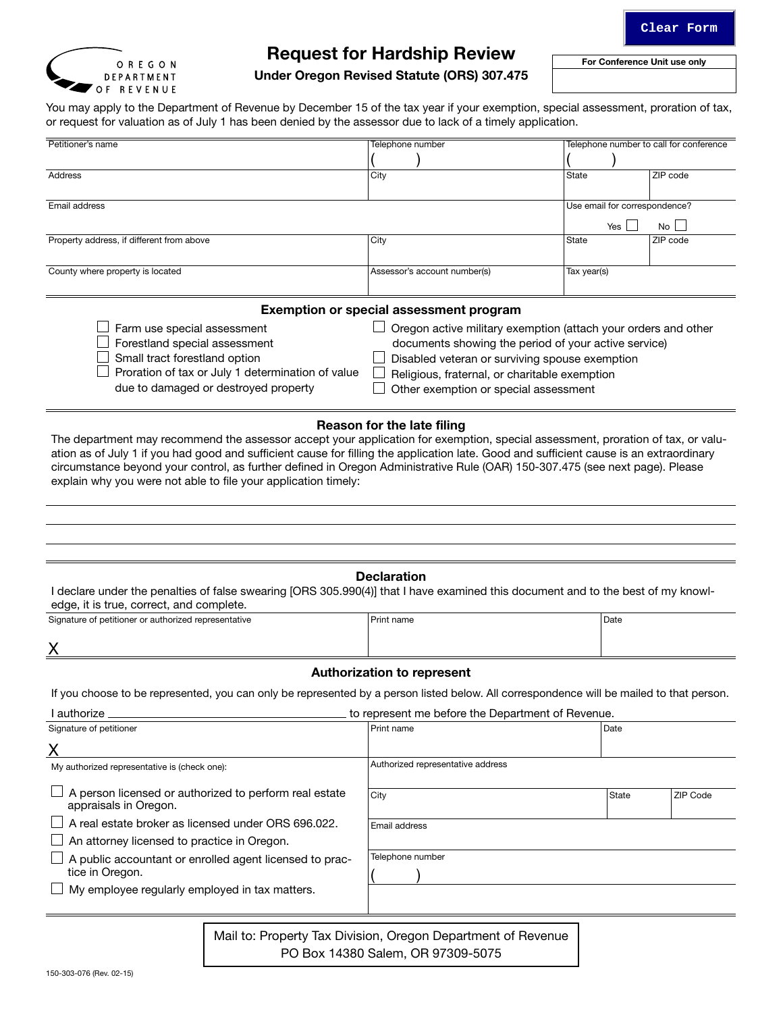For Conference Unit use only



# Request for Hardship Review

Under Oregon Revised Statute (ORS) 307.475

You may apply to the Department of Revenue by December 15 of the tax year if your exemption, special assessment, proration of tax, or request for valuation as of July 1 has been denied by the assessor due to lack of a timely application.

| Petitioner's name                                                                             | Telephone number             | Telephone number to call for conference |  |  |  |  |  |
|-----------------------------------------------------------------------------------------------|------------------------------|-----------------------------------------|--|--|--|--|--|
|                                                                                               |                              |                                         |  |  |  |  |  |
| Address                                                                                       | City                         | ZIP code<br>State                       |  |  |  |  |  |
| Email address                                                                                 |                              | Use email for correspondence?           |  |  |  |  |  |
|                                                                                               |                              | No<br>Yes I                             |  |  |  |  |  |
| Property address, if different from above                                                     | City                         | ZIP code<br>State                       |  |  |  |  |  |
| County where property is located                                                              | Assessor's account number(s) | Tax year(s)                             |  |  |  |  |  |
| <b>Exemption or special assessment program</b>                                                |                              |                                         |  |  |  |  |  |
| Oregon active military exemption (attach your orders and other<br>Farm use snecial assessment |                              |                                         |  |  |  |  |  |

| $\Box$ Farm use special assessment                       | Dregon active military exemption (attach your orders and other |
|----------------------------------------------------------|----------------------------------------------------------------|
| $\Box$ Forestland special assessment                     | documents showing the period of your active service)           |
| $\Box$ Small tract forestland option                     | Disabled veteran or surviving spouse exemption                 |
| $\Box$ Proration of tax or July 1 determination of value | Religious, fraternal, or charitable exemption                  |
| due to damaged or destroyed property                     | Other exemption or special assessment                          |
|                                                          |                                                                |

## Reason for the late filing

The department may recommend the assessor accept your application for exemption, special assessment, proration of tax, or valuation as of July 1 if you had good and sufficient cause for filling the application late. Good and sufficient cause is an extraordinary circumstance beyond your control, as further defined in Oregon Administrative Rule (OAR) 150-307.475 (see next page). Please explain why you were not able to file your application timely:

#### **Declaration**

I declare under the penalties of false swearing [ORS 305.990(4)] that I have examined this document and to the best of my knowledge, it is true, correct, and complete.

| Signature of petitioner or authorized representative | Print name |  |
|------------------------------------------------------|------------|--|
|                                                      |            |  |

 $\underline{X}$ 

## Authorization to represent

If you choose to be represented, you can only be represented by a person listed below. All correspondence will be mailed to that person.

I authorize **the COV** contract the Department of Revenue.

| Signature of petitioner                                                                | Print name                                                   | Date  |                 |  |
|----------------------------------------------------------------------------------------|--------------------------------------------------------------|-------|-----------------|--|
|                                                                                        |                                                              |       |                 |  |
| My authorized representative is (check one):                                           | Authorized representative address                            |       |                 |  |
| $\Box$ A person licensed or authorized to perform real estate<br>appraisals in Oregon. | City                                                         | State | <b>ZIP Code</b> |  |
| A real estate broker as licensed under ORS 696.022.                                    | Email address                                                |       |                 |  |
| $\Box$ An attorney licensed to practice in Oregon.                                     |                                                              |       |                 |  |
| $\Box$ A public accountant or enrolled agent licensed to prac-                         | Telephone number                                             |       |                 |  |
| tice in Oregon.                                                                        |                                                              |       |                 |  |
| $\Box$ My employee regularly employed in tax matters.                                  |                                                              |       |                 |  |
|                                                                                        |                                                              |       |                 |  |
|                                                                                        | Mail to: Property Tax Division, Oregon Department of Revenue |       |                 |  |

PO Box 14380 Salem, OR 97309-5075